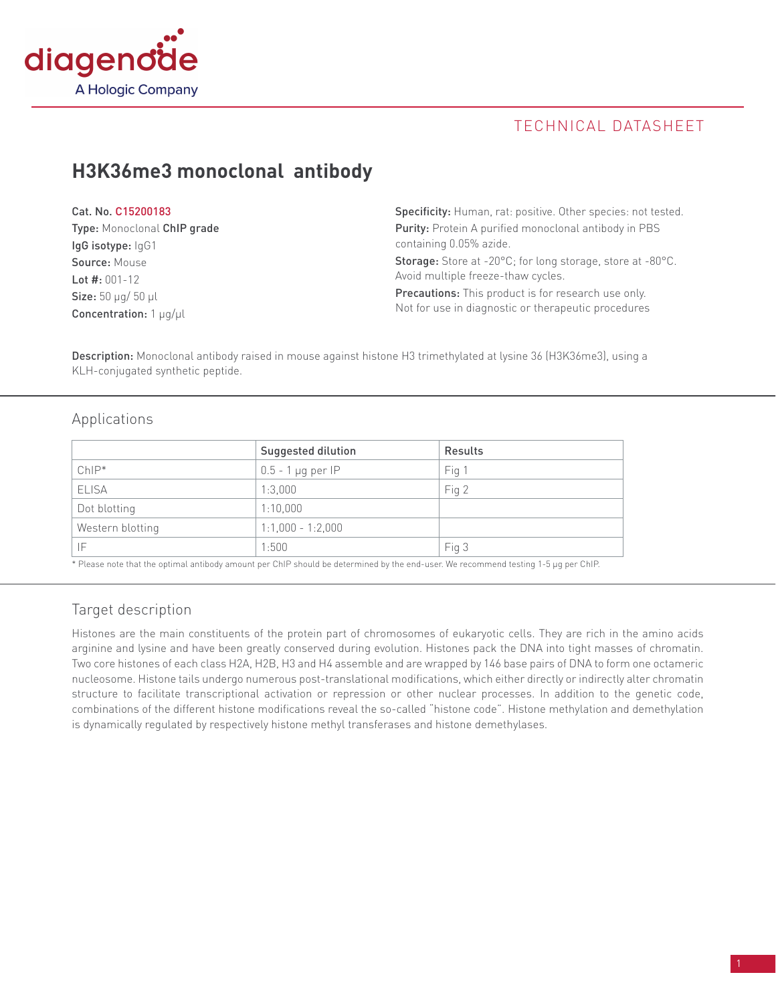

# TECHNICAL DATASHEET

# **H3K36me3 monoclonal antibody**

| Cat. No. C15200183                 | <b>Specificity:</b> Human, rat: positive. Other species: not tested. |  |
|------------------------------------|----------------------------------------------------------------------|--|
| Type: Monoclonal ChIP grade        | Purity: Protein A purified monoclonal antibody in PBS                |  |
| IgG isotype: IgG1                  | containing 0.05% azide.                                              |  |
| Source: Mouse                      | <b>Storage:</b> Store at -20°C; for long storage, store at -80°C.    |  |
| Lot $#: 001-12$                    | Avoid multiple freeze-thaw cycles.                                   |  |
| <b>Size:</b> $50 \mu q / 50 \mu l$ | <b>Precautions:</b> This product is for research use only.           |  |
| Concentration: $1 \mu q / \mu l$   | Not for use in diagnostic or therapeutic procedures                  |  |

Description: Monoclonal antibody raised in mouse against histone H3 trimethylated at lysine 36 (H3K36me3), using a KLH-conjugated synthetic peptide.

## Applications

|                  | Suggested dilution       | Results |
|------------------|--------------------------|---------|
| $ChIP*$          | $0.5 - 1 \,\mu$ g per IP | Fig 1   |
| <b>ELISA</b>     | 1:3,000                  | Fig 2   |
| Dot blotting     | 1:10,000                 |         |
| Western blotting | $1:1,000 - 1:2,000$      |         |
| ΙF               | 1:500                    | Fig 3   |

\* Please note that the optimal antibody amount per ChIP should be determined by the end-user. We recommend testing 1-5 µg per ChIP.

# Target description

Histones are the main constituents of the protein part of chromosomes of eukaryotic cells. They are rich in the amino acids arginine and lysine and have been greatly conserved during evolution. Histones pack the DNA into tight masses of chromatin. Two core histones of each class H2A, H2B, H3 and H4 assemble and are wrapped by 146 base pairs of DNA to form one octameric nucleosome. Histone tails undergo numerous post-translational modifications, which either directly or indirectly alter chromatin structure to facilitate transcriptional activation or repression or other nuclear processes. In addition to the genetic code, combinations of the different histone modifications reveal the so-called "histone code". Histone methylation and demethylation is dynamically regulated by respectively histone methyl transferases and histone demethylases.